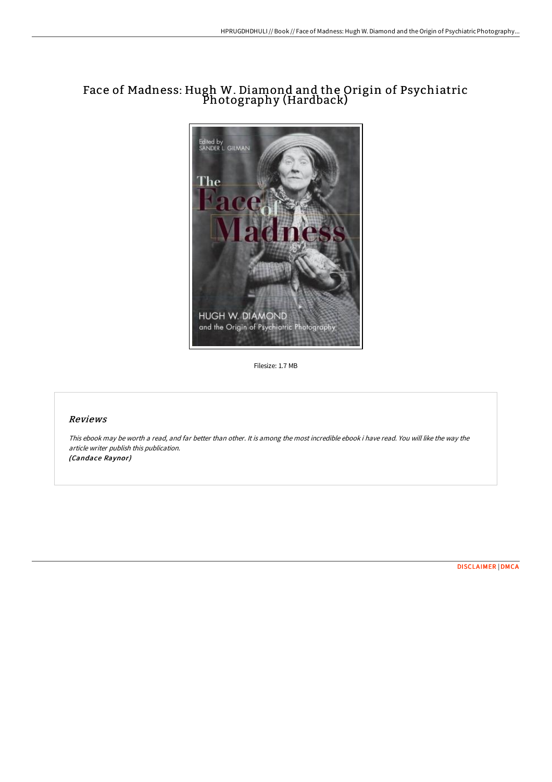# Face of Madness: Hugh W. Diamond and the Origin of Psychiatric Photography (Hardback)



Filesize: 1.7 MB

## Reviews

This ebook may be worth <sup>a</sup> read, and far better than other. It is among the most incredible ebook i have read. You will like the way the article writer publish this publication. (Candace Raynor)

[DISCLAIMER](http://bookera.tech/disclaimer.html) | [DMCA](http://bookera.tech/dmca.html)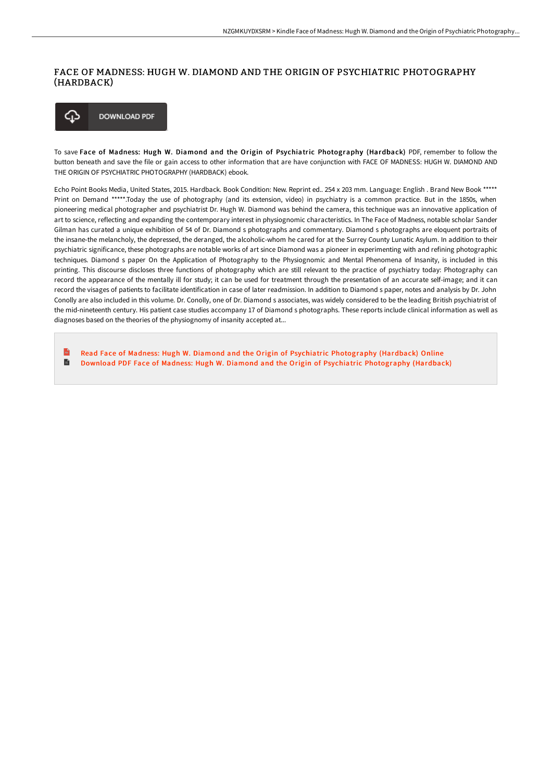#### FACE OF MADNESS: HUGH W. DIAMOND AND THE ORIGIN OF PSYCHIATRIC PHOTOGRAPHY (HARDBACK)



To save Face of Madness: Hugh W. Diamond and the Origin of Psychiatric Photography (Hardback) PDF, remember to follow the button beneath and save the file or gain access to other information that are have conjunction with FACE OF MADNESS: HUGH W. DIAMOND AND THE ORIGIN OF PSYCHIATRIC PHOTOGRAPHY (HARDBACK) ebook.

Echo Point Books Media, United States, 2015. Hardback. Book Condition: New. Reprint ed.. 254 x 203 mm. Language: English . Brand New Book \*\*\*\*\* Print on Demand \*\*\*\*\*.Today the use of photography (and its extension, video) in psychiatry is a common practice. But in the 1850s, when pioneering medical photographer and psychiatrist Dr. Hugh W. Diamond was behind the camera, this technique was an innovative application of art to science, reflecting and expanding the contemporary interest in physiognomic characteristics. In The Face of Madness, notable scholar Sander Gilman has curated a unique exhibition of 54 of Dr. Diamond s photographs and commentary. Diamond s photographs are eloquent portraits of the insane-the melancholy, the depressed, the deranged, the alcoholic-whom he cared for at the Surrey County Lunatic Asylum. In addition to their psychiatric significance, these photographs are notable works of art since Diamond was a pioneer in experimenting with and refining photographic techniques. Diamond s paper On the Application of Photography to the Physiognomic and Mental Phenomena of Insanity, is included in this printing. This discourse discloses three functions of photography which are still relevant to the practice of psychiatry today: Photography can record the appearance of the mentally ill for study; it can be used for treatment through the presentation of an accurate self-image; and it can record the visages of patients to facilitate identification in case of later readmission. In addition to Diamond s paper, notes and analysis by Dr. John Conolly are also included in this volume. Dr. Conolly, one of Dr. Diamond s associates, was widely considered to be the leading British psychiatrist of the mid-nineteenth century. His patient case studies accompany 17 of Diamond s photographs. These reports include clinical information as well as diagnoses based on the theories of the physiognomy of insanity accepted at...

 $\mathbb{R}$ Read Face of Madness: Hugh W. Diamond and the Origin of Psychiatric [Photography](http://bookera.tech/face-of-madness-hugh-w-diamond-and-the-origin-of-1.html) (Hardback) Online B Download PDF Face of Madness: Hugh W. Diamond and the Origin of Psychiatric [Photography](http://bookera.tech/face-of-madness-hugh-w-diamond-and-the-origin-of-1.html) (Hardback)